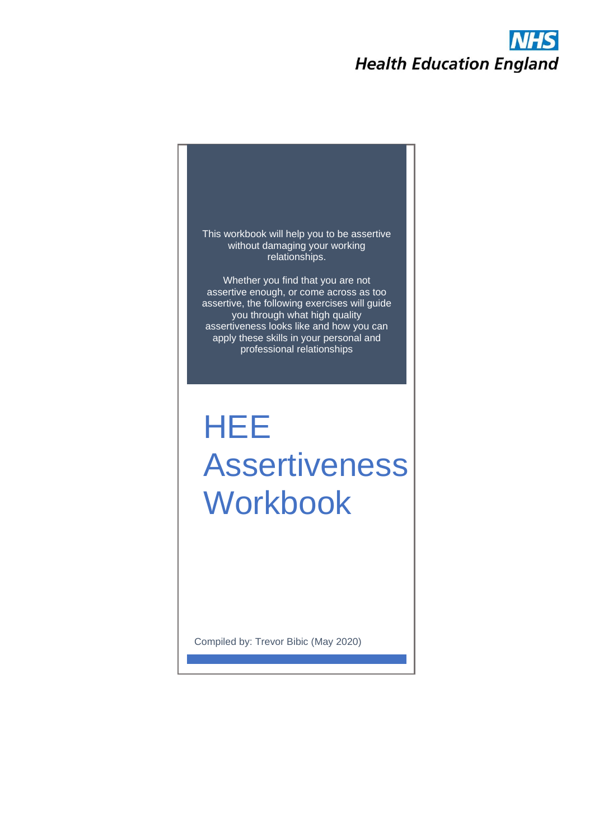

Compiled by: Trevor Bibic (May 2020)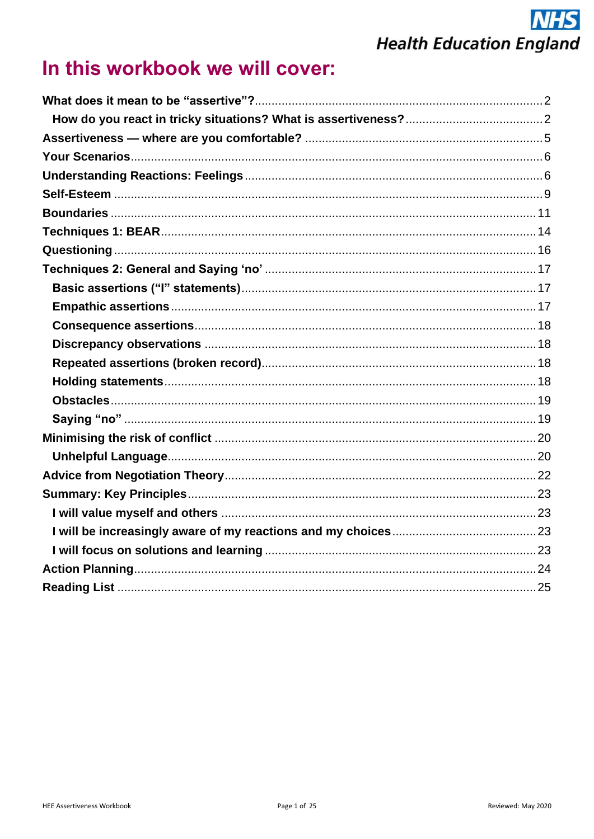## In this workbook we will cover: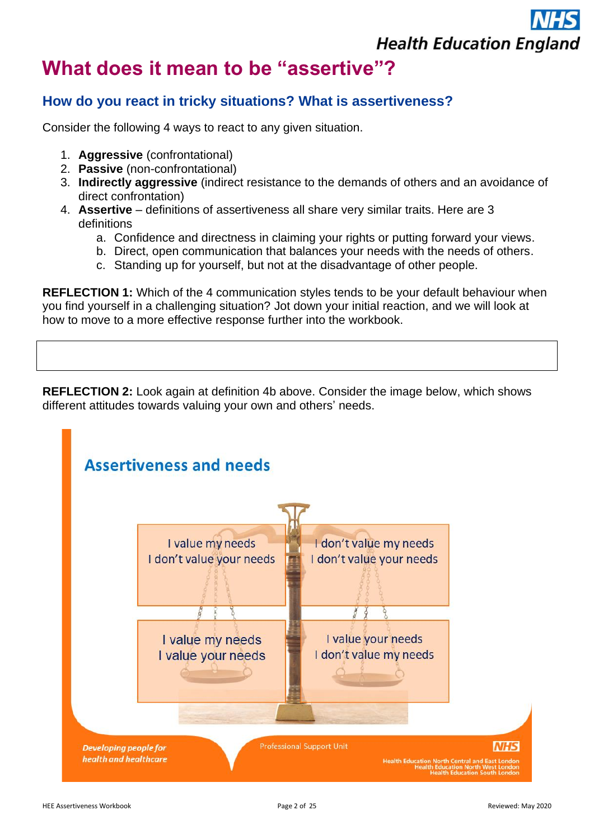## <span id="page-2-0"></span>**What does it mean to be "assertive"?**

### <span id="page-2-1"></span>**How do you react in tricky situations? What is assertiveness?**

Consider the following 4 ways to react to any given situation.

- 1. **Aggressive** (confrontational)
- 2. **Passive** (non-confrontational)
- 3. **Indirectly aggressive** (indirect resistance to the demands of others and an avoidance of direct confrontation)
- 4. **Assertive** definitions of assertiveness all share very similar traits. Here are 3 definitions
	- a. Confidence and directness in claiming your rights or putting forward your views.
	- b. Direct, open communication that balances your needs with the needs of others.
	- c. Standing up for yourself, but not at the disadvantage of other people.

**REFLECTION 1:** Which of the 4 communication styles tends to be your default behaviour when you find yourself in a challenging situation? Jot down your initial reaction, and we will look at how to move to a more effective response further into the workbook.

**REFLECTION 2:** Look again at definition 4b above. Consider the image below, which shows different attitudes towards valuing your own and others' needs.

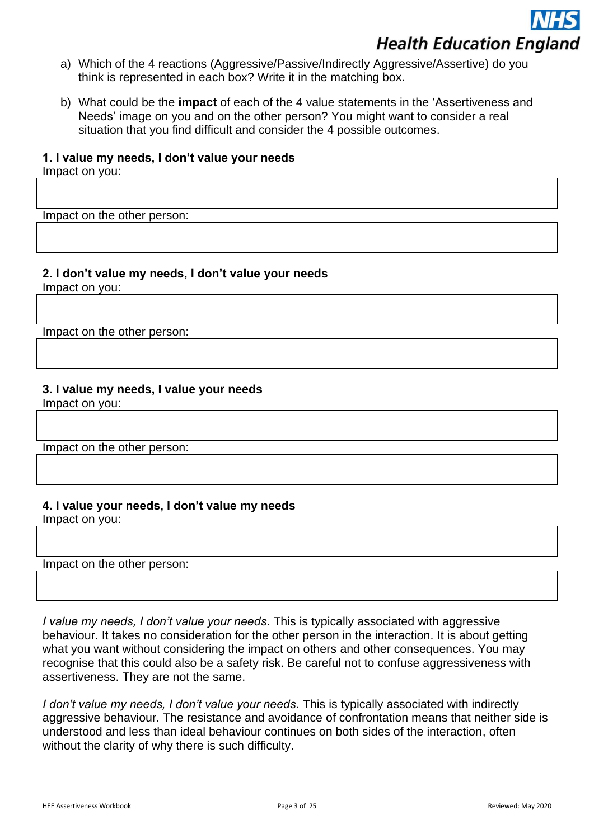

- a) Which of the 4 reactions (Aggressive/Passive/Indirectly Aggressive/Assertive) do you think is represented in each box? Write it in the matching box.
- b) What could be the **impact** of each of the 4 value statements in the 'Assertiveness and Needs' image on you and on the other person? You might want to consider a real situation that you find difficult and consider the 4 possible outcomes.

#### **1. I value my needs, I don't value your needs**

Impact on you:

Impact on the other person:

### **2. I don't value my needs, I don't value your needs**

Impact on you:

Impact on the other person:

#### **3. I value my needs, I value your needs**

Impact on you:

Impact on the other person:

#### **4. I value your needs, I don't value my needs**

Impact on you:

#### Impact on the other person:

*I value my needs, I don't value your needs*. This is typically associated with aggressive behaviour. It takes no consideration for the other person in the interaction. It is about getting what you want without considering the impact on others and other consequences. You may recognise that this could also be a safety risk. Be careful not to confuse aggressiveness with assertiveness. They are not the same.

*I don't value my needs, I don't value your needs*. This is typically associated with indirectly aggressive behaviour. The resistance and avoidance of confrontation means that neither side is understood and less than ideal behaviour continues on both sides of the interaction, often without the clarity of why there is such difficulty.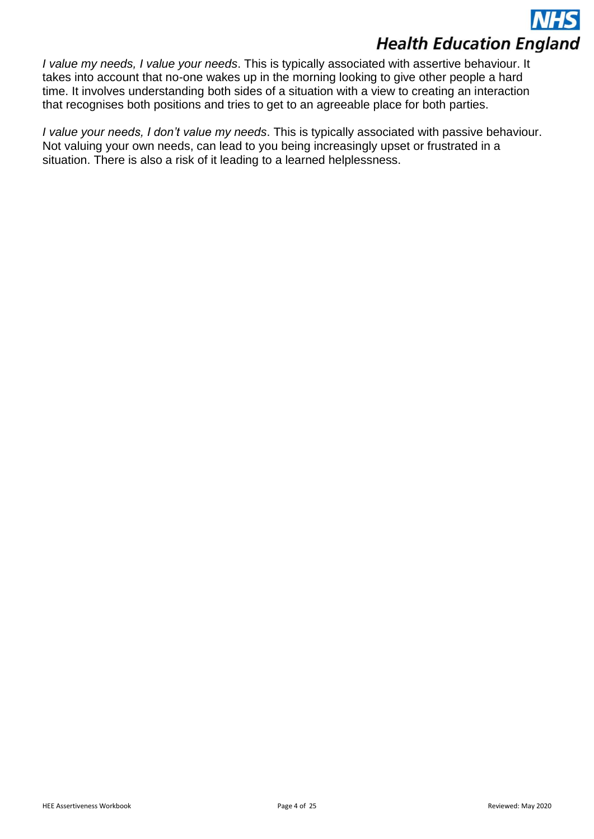*I value my needs, I value your needs*. This is typically associated with assertive behaviour. It takes into account that no-one wakes up in the morning looking to give other people a hard time. It involves understanding both sides of a situation with a view to creating an interaction that recognises both positions and tries to get to an agreeable place for both parties.

*I value your needs, I don't value my needs*. This is typically associated with passive behaviour. Not valuing your own needs, can lead to you being increasingly upset or frustrated in a situation. There is also a risk of it leading to a learned helplessness.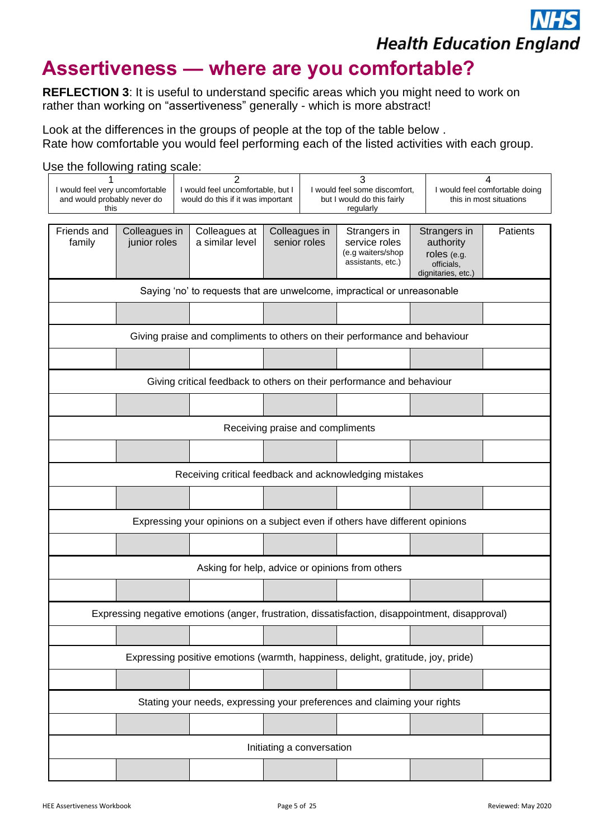## <span id="page-5-0"></span>**Assertiveness — where are you comfortable?**

**REFLECTION 3**: It is useful to understand specific areas which you might need to work on rather than working on "assertiveness" generally - which is more abstract!

Look at the differences in the groups of people at the top of the table below . Rate how comfortable you would feel performing each of the listed activities with each group.

| Use the following rating scale:                                          |                                                        |  |                                                                                          |  |                                                                               |                                                                                                 |                                                                              |                                                                |          |
|--------------------------------------------------------------------------|--------------------------------------------------------|--|------------------------------------------------------------------------------------------|--|-------------------------------------------------------------------------------|-------------------------------------------------------------------------------------------------|------------------------------------------------------------------------------|----------------------------------------------------------------|----------|
| I would feel very uncomfortable<br>and would probably never do<br>this   |                                                        |  | $\overline{2}$<br>I would feel uncomfortable, but I<br>would do this if it was important |  | 3<br>I would feel some discomfort,<br>but I would do this fairly<br>regularly |                                                                                                 |                                                                              | 4<br>I would feel comfortable doing<br>this in most situations |          |
| Friends and<br>family                                                    | Colleagues in<br>junior roles                          |  | Colleagues at<br>Colleagues in<br>a similar level<br>senior roles                        |  | Strangers in<br>service roles<br>(e.g waiters/shop<br>assistants, etc.)       |                                                                                                 | Strangers in<br>authority<br>roles (e.g.<br>officials,<br>dignitaries, etc.) |                                                                | Patients |
| Saying 'no' to requests that are unwelcome, impractical or unreasonable  |                                                        |  |                                                                                          |  |                                                                               |                                                                                                 |                                                                              |                                                                |          |
|                                                                          |                                                        |  |                                                                                          |  |                                                                               |                                                                                                 |                                                                              |                                                                |          |
|                                                                          |                                                        |  |                                                                                          |  |                                                                               | Giving praise and compliments to others on their performance and behaviour                      |                                                                              |                                                                |          |
|                                                                          |                                                        |  |                                                                                          |  |                                                                               |                                                                                                 |                                                                              |                                                                |          |
| Giving critical feedback to others on their performance and behaviour    |                                                        |  |                                                                                          |  |                                                                               |                                                                                                 |                                                                              |                                                                |          |
|                                                                          |                                                        |  |                                                                                          |  |                                                                               |                                                                                                 |                                                                              |                                                                |          |
|                                                                          |                                                        |  | Receiving praise and compliments                                                         |  |                                                                               |                                                                                                 |                                                                              |                                                                |          |
|                                                                          |                                                        |  |                                                                                          |  |                                                                               |                                                                                                 |                                                                              |                                                                |          |
|                                                                          | Receiving critical feedback and acknowledging mistakes |  |                                                                                          |  |                                                                               |                                                                                                 |                                                                              |                                                                |          |
|                                                                          |                                                        |  |                                                                                          |  |                                                                               |                                                                                                 |                                                                              |                                                                |          |
|                                                                          |                                                        |  |                                                                                          |  |                                                                               | Expressing your opinions on a subject even if others have different opinions                    |                                                                              |                                                                |          |
|                                                                          |                                                        |  |                                                                                          |  |                                                                               |                                                                                                 |                                                                              |                                                                |          |
|                                                                          |                                                        |  |                                                                                          |  |                                                                               | Asking for help, advice or opinions from others                                                 |                                                                              |                                                                |          |
|                                                                          |                                                        |  |                                                                                          |  |                                                                               |                                                                                                 |                                                                              |                                                                |          |
|                                                                          |                                                        |  |                                                                                          |  |                                                                               | Expressing negative emotions (anger, frustration, dissatisfaction, disappointment, disapproval) |                                                                              |                                                                |          |
|                                                                          |                                                        |  |                                                                                          |  |                                                                               |                                                                                                 |                                                                              |                                                                |          |
|                                                                          |                                                        |  |                                                                                          |  |                                                                               | Expressing positive emotions (warmth, happiness, delight, gratitude, joy, pride)                |                                                                              |                                                                |          |
|                                                                          |                                                        |  |                                                                                          |  |                                                                               |                                                                                                 |                                                                              |                                                                |          |
| Stating your needs, expressing your preferences and claiming your rights |                                                        |  |                                                                                          |  |                                                                               |                                                                                                 |                                                                              |                                                                |          |
|                                                                          |                                                        |  |                                                                                          |  |                                                                               |                                                                                                 |                                                                              |                                                                |          |
| Initiating a conversation                                                |                                                        |  |                                                                                          |  |                                                                               |                                                                                                 |                                                                              |                                                                |          |
|                                                                          |                                                        |  |                                                                                          |  |                                                                               |                                                                                                 |                                                                              |                                                                |          |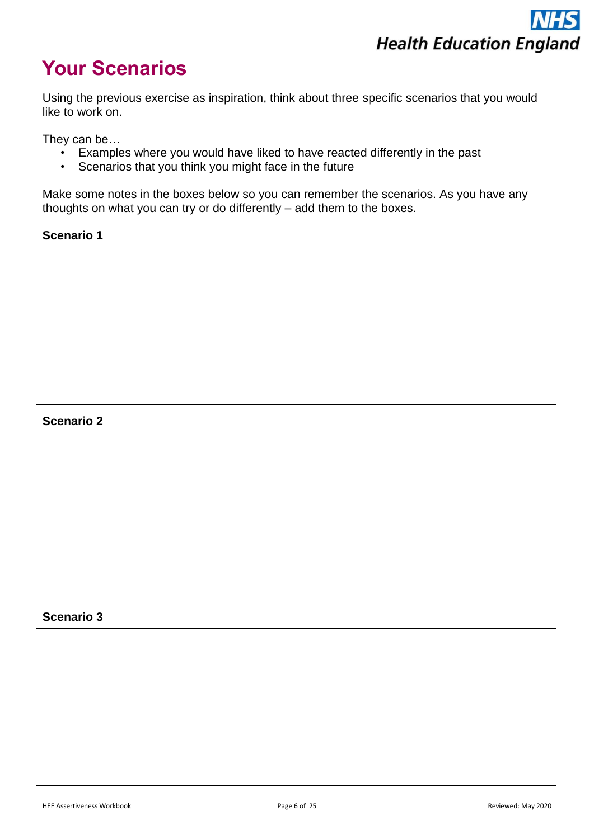## <span id="page-6-0"></span>**Your Scenarios**

Using the previous exercise as inspiration, think about three specific scenarios that you would like to work on.

They can be…

- Examples where you would have liked to have reacted differently in the past
- Scenarios that you think you might face in the future

Make some notes in the boxes below so you can remember the scenarios. As you have any thoughts on what you can try or do differently – add them to the boxes.

**Scenario 1**

#### **Scenario 2**

#### <span id="page-6-1"></span>**Scenario 3**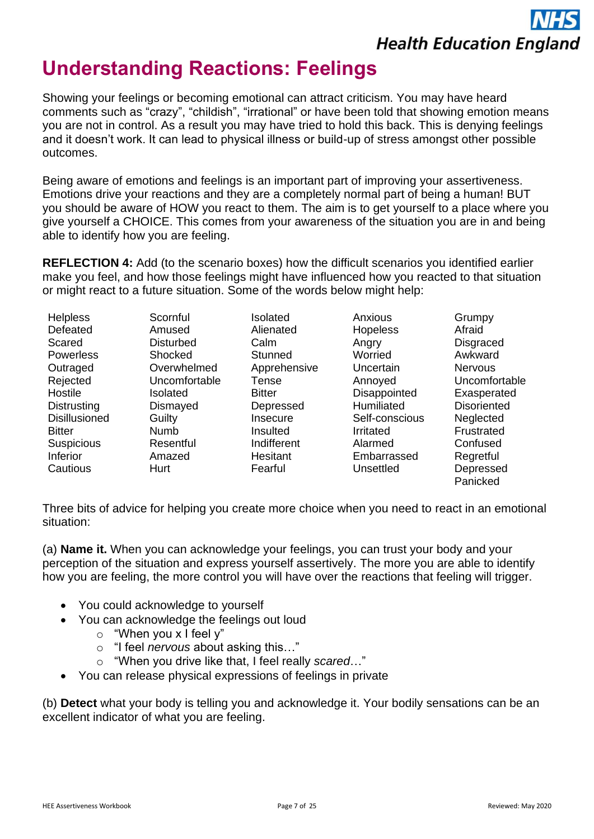## **Understanding Reactions: Feelings**

Showing your feelings or becoming emotional can attract criticism. You may have heard comments such as "crazy", "childish", "irrational" or have been told that showing emotion means you are not in control. As a result you may have tried to hold this back. This is denying feelings and it doesn't work. It can lead to physical illness or build-up of stress amongst other possible outcomes.

Being aware of emotions and feelings is an important part of improving your assertiveness. Emotions drive your reactions and they are a completely normal part of being a human! BUT you should be aware of HOW you react to them. The aim is to get yourself to a place where you give yourself a CHOICE. This comes from your awareness of the situation you are in and being able to identify how you are feeling.

**REFLECTION 4:** Add (to the scenario boxes) how the difficult scenarios you identified earlier make you feel, and how those feelings might have influenced how you reacted to that situation or might react to a future situation. Some of the words below might help:

| <b>Helpless</b> |
|-----------------|
| Defeated        |
| Scared          |
| Powerless       |
| Outraged        |
| Rejected        |
| Hostile         |
| Distrusting     |
| Disillusioned   |
| Bitter          |
| Suspicious      |
| Inferior        |
| Cautious        |

**Scornful** Amused **Disturbed Shocked Overwhelmed** Uncomfortable Isolated Dismayed **Guilty** Numb **Resentful** Amazed **Hurt** 

Isolated Alienated Calm **Stunned** Apprehensive Tense **Bitter** Depressed Insecure Insulted Indifferent **Hesitant** Fearful

**Anxious Hopeless** Angry Worried Uncertain Annoyed Disappointed Humiliated Self-conscious Irritated Alarmed Embarrassed Unsettled

Grumpy Afraid **Disgraced** Awkward Nervous Uncomfortable Exasperated **Disoriented Neglected** Frustrated **Confused Regretful** Depressed Panicked

Three bits of advice for helping you create more choice when you need to react in an emotional situation:

(a) **Name it.** When you can acknowledge your feelings, you can trust your body and your perception of the situation and express yourself assertively. The more you are able to identify how you are feeling, the more control you will have over the reactions that feeling will trigger.

- You could acknowledge to yourself
- You can acknowledge the feelings out loud
	- $\circ$  "When you x I feel y"
	- o "I feel *nervous* about asking this…"
	- o "When you drive like that, I feel really *scared*…"
- You can release physical expressions of feelings in private

(b) **Detect** what your body is telling you and acknowledge it. Your bodily sensations can be an excellent indicator of what you are feeling.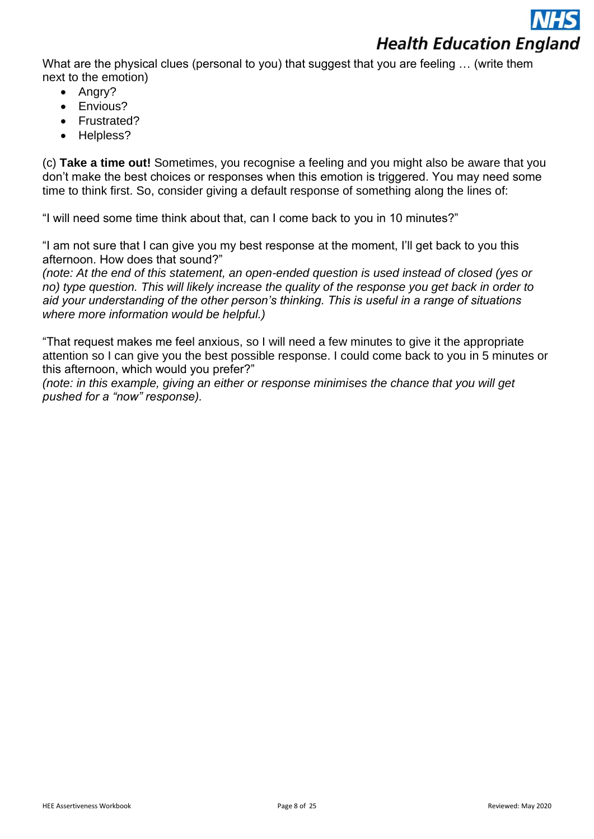What are the physical clues (personal to you) that suggest that you are feeling ... (write them next to the emotion)

- Angry?
- **Envious?**
- Frustrated?
- Helpless?

(c) **Take a time out!** Sometimes, you recognise a feeling and you might also be aware that you don't make the best choices or responses when this emotion is triggered. You may need some time to think first. So, consider giving a default response of something along the lines of:

"I will need some time think about that, can I come back to you in 10 minutes?"

"I am not sure that I can give you my best response at the moment, I'll get back to you this afternoon. How does that sound?"

*(note: At the end of this statement, an open-ended question is used instead of closed (yes or no) type question. This will likely increase the quality of the response you get back in order to aid your understanding of the other person's thinking. This is useful in a range of situations where more information would be helpful.)*

"That request makes me feel anxious, so I will need a few minutes to give it the appropriate attention so I can give you the best possible response. I could come back to you in 5 minutes or this afternoon, which would you prefer?"

*(note: in this example, giving an either or response minimises the chance that you will get pushed for a "now" response).*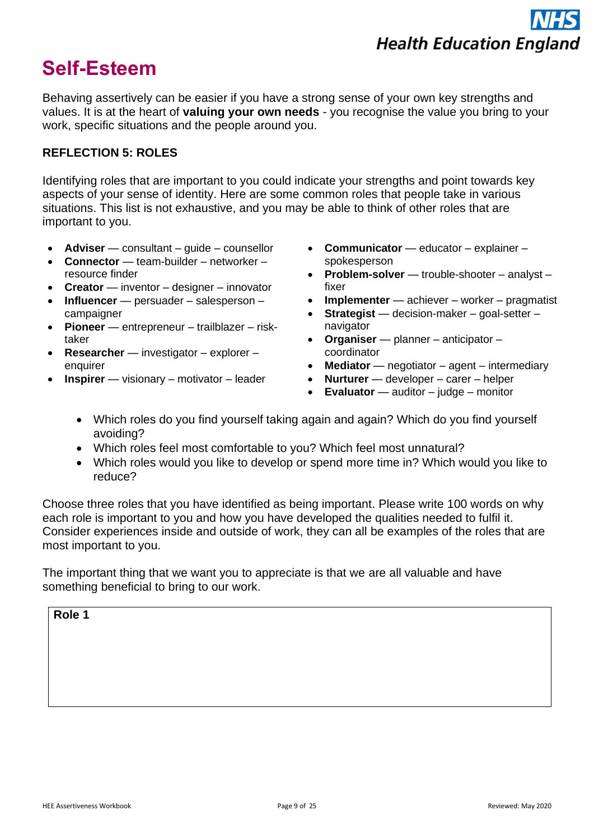## <span id="page-9-0"></span>**Self-Esteem**

Behaving assertively can be easier if you have a strong sense of your own key strengths and values. It is at the heart of **valuing your own needs** - you recognise the value you bring to your work, specific situations and the people around you.

#### **REFLECTION 5: ROLES**

Identifying roles that are important to you could indicate your strengths and point towards key aspects of your sense of identity. Here are some common roles that people take in various situations. This list is not exhaustive, and you may be able to think of other roles that are important to you.

- **Adviser** consultant guide counsellor
- **Connector** team-builder networker resource finder
- **Creator** inventor designer innovator
- **Influencer** persuader salesperson campaigner
- **Pioneer** entrepreneur trailblazer risktaker
- **Researcher** investigator explorer enquirer
- **Inspirer** visionary motivator leader
- **Communicator** educator explainer spokesperson
- **Problem-solver** trouble-shooter analyst fixer
- **Implementer** achiever worker pragmatist
- **Strategist** decision-maker goal-setter navigator
- **Organiser** planner anticipator coordinator
- **Mediator** negotiator agent intermediary
- **Nurturer** developer carer helper
- **Evaluator** auditor judge monitor
- Which roles do you find yourself taking again and again? Which do you find yourself avoiding?
- Which roles feel most comfortable to you? Which feel most unnatural?
- Which roles would you like to develop or spend more time in? Which would you like to reduce?

Choose three roles that you have identified as being important. Please write 100 words on why each role is important to you and how you have developed the qualities needed to fulfil it. Consider experiences inside and outside of work, they can all be examples of the roles that are most important to you.

The important thing that we want you to appreciate is that we are all valuable and have something beneficial to bring to our work.

**Role 1**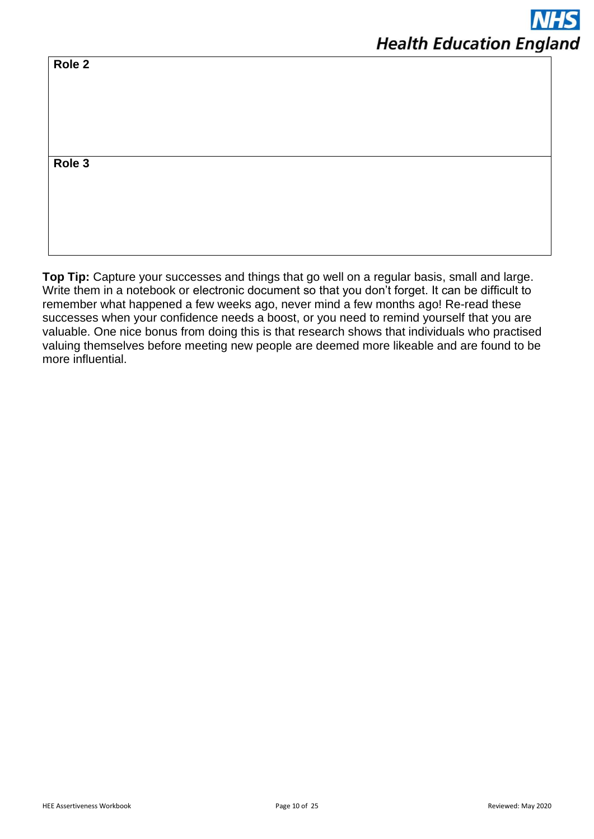**Role 2**

**Role 3**

**Top Tip:** Capture your successes and things that go well on a regular basis, small and large. Write them in a notebook or electronic document so that you don't forget. It can be difficult to remember what happened a few weeks ago, never mind a few months ago! Re-read these successes when your confidence needs a boost, or you need to remind yourself that you are valuable. One nice bonus from doing this is that research shows that individuals who practised valuing themselves before meeting new people are deemed more likeable and are found to be more influential.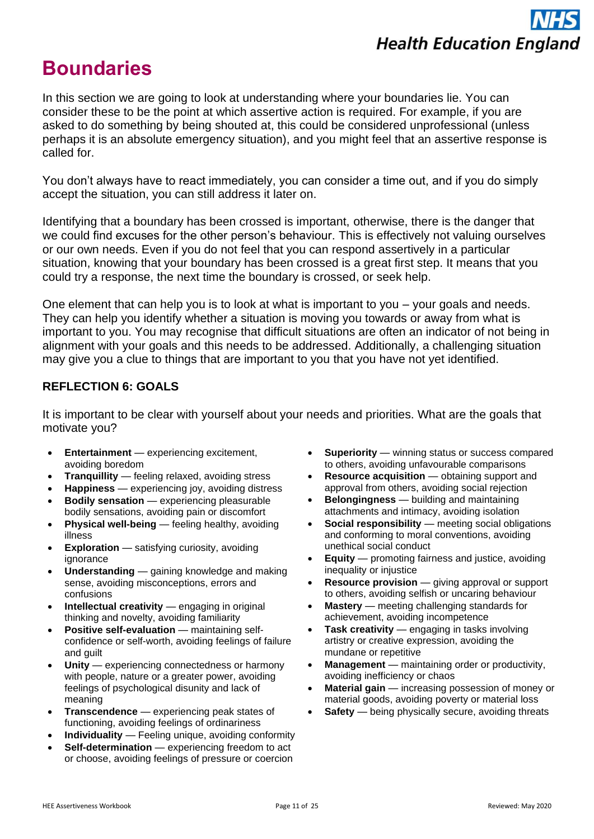## <span id="page-11-0"></span>**Boundaries**

In this section we are going to look at understanding where your boundaries lie. You can consider these to be the point at which assertive action is required. For example, if you are asked to do something by being shouted at, this could be considered unprofessional (unless perhaps it is an absolute emergency situation), and you might feel that an assertive response is called for.

You don't always have to react immediately, you can consider a time out, and if you do simply accept the situation, you can still address it later on.

Identifying that a boundary has been crossed is important, otherwise, there is the danger that we could find excuses for the other person's behaviour. This is effectively not valuing ourselves or our own needs. Even if you do not feel that you can respond assertively in a particular situation, knowing that your boundary has been crossed is a great first step. It means that you could try a response, the next time the boundary is crossed, or seek help.

One element that can help you is to look at what is important to you – your goals and needs. They can help you identify whether a situation is moving you towards or away from what is important to you. You may recognise that difficult situations are often an indicator of not being in alignment with your goals and this needs to be addressed. Additionally, a challenging situation may give you a clue to things that are important to you that you have not yet identified.

#### **REFLECTION 6: GOALS**

It is important to be clear with yourself about your needs and priorities. What are the goals that motivate you?

- **Entertainment** experiencing excitement, avoiding boredom
- **Tranquillity** feeling relaxed, avoiding stress
- **Happiness** experiencing joy, avoiding distress
- **Bodily sensation** experiencing pleasurable bodily sensations, avoiding pain or discomfort
- **Physical well-being** feeling healthy, avoiding illness
- **Exploration** satisfying curiosity, avoiding ignorance
- **Understanding** gaining knowledge and making sense, avoiding misconceptions, errors and confusions
- **Intellectual creativity** engaging in original thinking and novelty, avoiding familiarity
- **Positive self-evaluation** maintaining selfconfidence or self-worth, avoiding feelings of failure and guilt
- **Unity** experiencing connectedness or harmony with people, nature or a greater power, avoiding feelings of psychological disunity and lack of meaning
- **Transcendence** experiencing peak states of functioning, avoiding feelings of ordinariness
- **Individuality** Feeling unique, avoiding conformity
- **Self-determination** experiencing freedom to act or choose, avoiding feelings of pressure or coercion
- **Superiority** winning status or success compared to others, avoiding unfavourable comparisons
- **Resource acquisition** obtaining support and approval from others, avoiding social rejection
- **Belongingness** building and maintaining attachments and intimacy, avoiding isolation
- **Social responsibility** meeting social obligations and conforming to moral conventions, avoiding unethical social conduct
- **Equity** promoting fairness and justice, avoiding inequality or injustice
- **Resource provision** giving approval or support to others, avoiding selfish or uncaring behaviour
- **Mastery** meeting challenging standards for achievement, avoiding incompetence
- **Task creativity** engaging in tasks involving artistry or creative expression, avoiding the mundane or repetitive
- **Management** maintaining order or productivity, avoiding inefficiency or chaos
- **Material gain** increasing possession of money or material goods, avoiding poverty or material loss
- **Safety** being physically secure, avoiding threats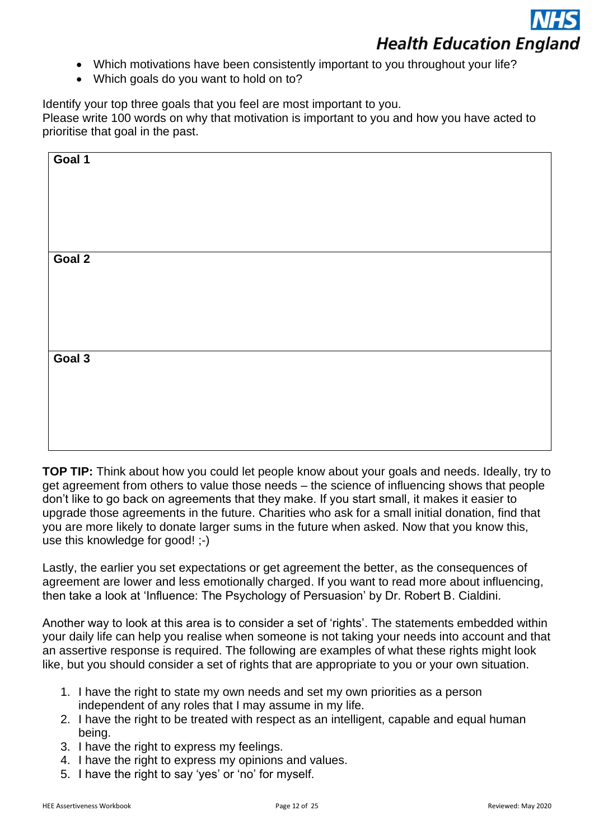- Which motivations have been consistently important to you throughout your life?
- Which goals do you want to hold on to?

Identify your top three goals that you feel are most important to you.

Please write 100 words on why that motivation is important to you and how you have acted to prioritise that goal in the past.

| Goal 1 |  |  |  |
|--------|--|--|--|
| Goal 2 |  |  |  |
| Goal 3 |  |  |  |

**TOP TIP:** Think about how you could let people know about your goals and needs. Ideally, try to get agreement from others to value those needs – the science of influencing shows that people don't like to go back on agreements that they make. If you start small, it makes it easier to upgrade those agreements in the future. Charities who ask for a small initial donation, find that you are more likely to donate larger sums in the future when asked. Now that you know this, use this knowledge for good! ;-)

Lastly, the earlier you set expectations or get agreement the better, as the consequences of agreement are lower and less emotionally charged. If you want to read more about influencing, then take a look at 'Influence: The Psychology of Persuasion' by Dr. Robert B. Cialdini.

Another way to look at this area is to consider a set of 'rights'. The statements embedded within your daily life can help you realise when someone is not taking your needs into account and that an assertive response is required. The following are examples of what these rights might look like, but you should consider a set of rights that are appropriate to you or your own situation.

- 1. I have the right to state my own needs and set my own priorities as a person independent of any roles that I may assume in my life.
- 2. I have the right to be treated with respect as an intelligent, capable and equal human being.
- 3. I have the right to express my feelings.
- 4. I have the right to express my opinions and values.
- 5. I have the right to say 'yes' or 'no' for myself.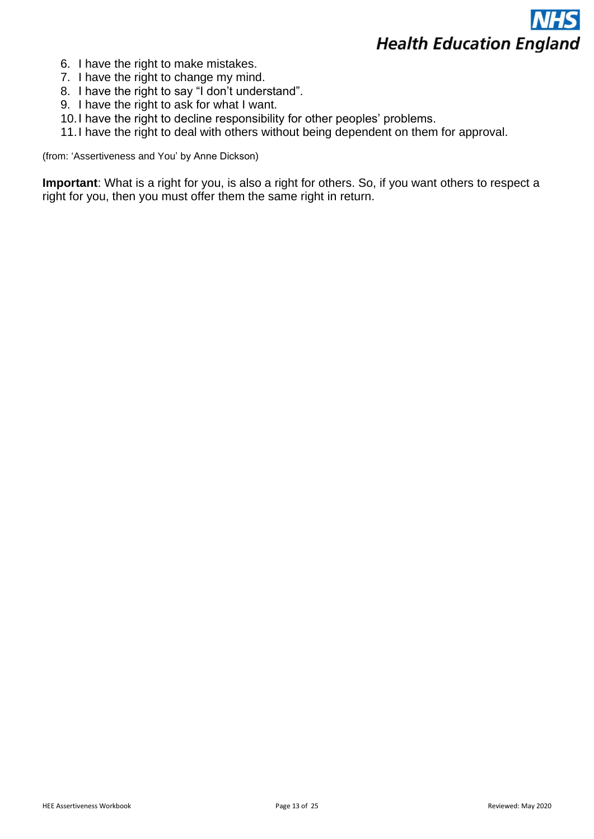- 6. I have the right to make mistakes.
- 7. I have the right to change my mind.
- 8. I have the right to say "I don't understand".
- 9. I have the right to ask for what I want.
- 10.I have the right to decline responsibility for other peoples' problems.
- 11.I have the right to deal with others without being dependent on them for approval.

(from: 'Assertiveness and You' by Anne Dickson)

**Important**: What is a right for you, is also a right for others. So, if you want others to respect a right for you, then you must offer them the same right in return.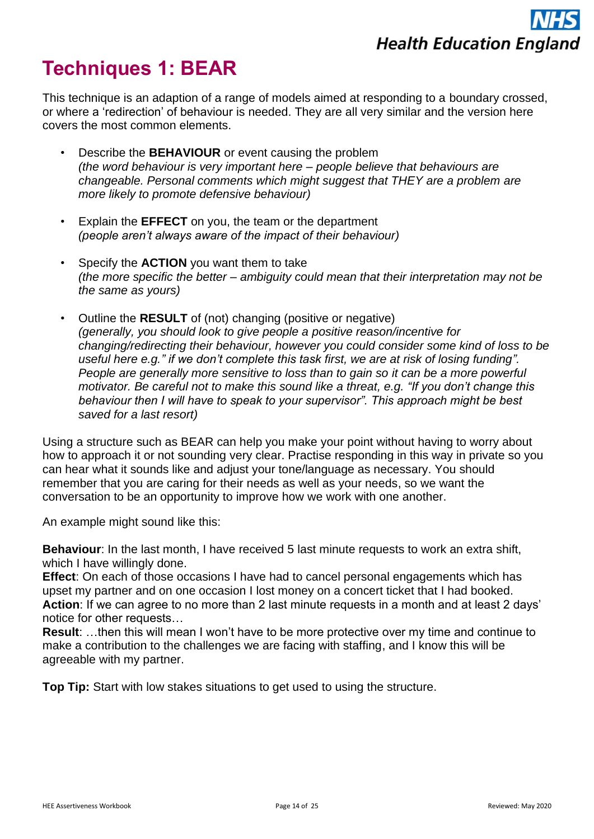## <span id="page-14-0"></span>**Techniques 1: BEAR**

This technique is an adaption of a range of models aimed at responding to a boundary crossed, or where a 'redirection' of behaviour is needed. They are all very similar and the version here covers the most common elements.

- Describe the **BEHAVIOUR** or event causing the problem *(the word behaviour is very important here – people believe that behaviours are changeable. Personal comments which might suggest that THEY are a problem are more likely to promote defensive behaviour)*
- Explain the **EFFECT** on you, the team or the department *(people aren't always aware of the impact of their behaviour)*
- Specify the **ACTION** you want them to take *(the more specific the better – ambiguity could mean that their interpretation may not be the same as yours)*
- Outline the **RESULT** of (not) changing (positive or negative) *(generally, you should look to give people a positive reason/incentive for changing/redirecting their behaviour, however you could consider some kind of loss to be useful here e.g." if we don't complete this task first, we are at risk of losing funding". People are generally more sensitive to loss than to gain so it can be a more powerful motivator. Be careful not to make this sound like a threat, e.g. "If you don't change this behaviour then I will have to speak to your supervisor". This approach might be best saved for a last resort)*

Using a structure such as BEAR can help you make your point without having to worry about how to approach it or not sounding very clear. Practise responding in this way in private so you can hear what it sounds like and adjust your tone/language as necessary. You should remember that you are caring for their needs as well as your needs, so we want the conversation to be an opportunity to improve how we work with one another.

An example might sound like this:

**Behaviour**: In the last month, I have received 5 last minute requests to work an extra shift, which I have willingly done.

**Effect**: On each of those occasions I have had to cancel personal engagements which has upset my partner and on one occasion I lost money on a concert ticket that I had booked. **Action**: If we can agree to no more than 2 last minute requests in a month and at least 2 days' notice for other requests…

**Result**: …then this will mean I won't have to be more protective over my time and continue to make a contribution to the challenges we are facing with staffing, and I know this will be agreeable with my partner.

**Top Tip:** Start with low stakes situations to get used to using the structure.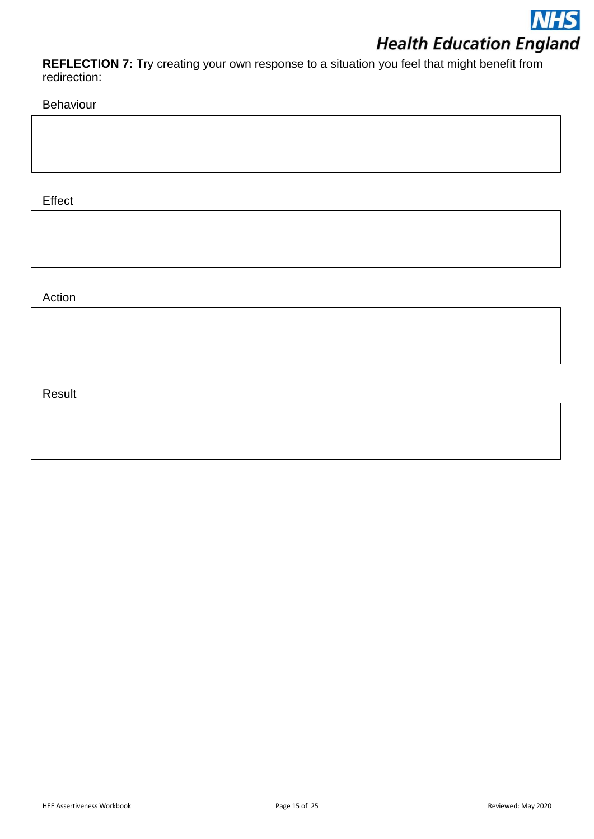**REFLECTION 7:** Try creating your own response to a situation you feel that might benefit from redirection:

Behaviour

Effect

Action

Result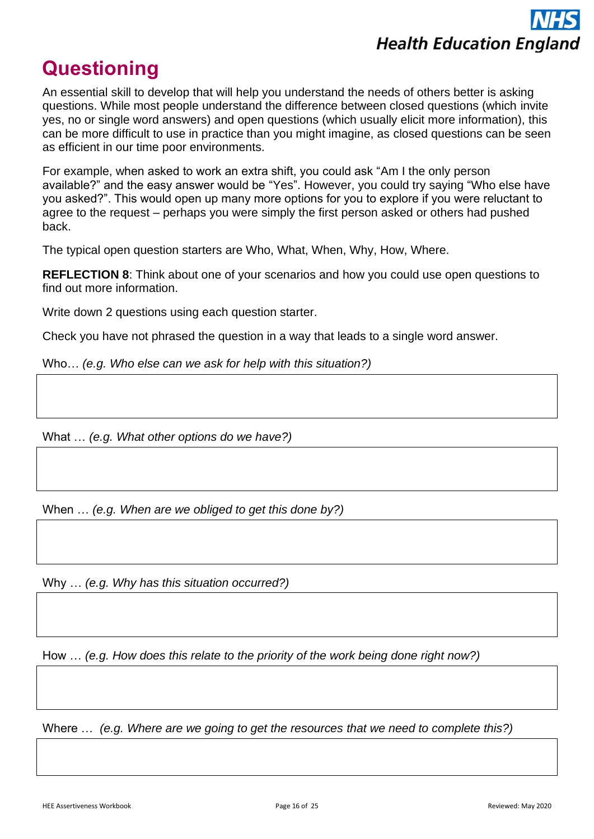## <span id="page-16-0"></span>**Questioning**

An essential skill to develop that will help you understand the needs of others better is asking questions. While most people understand the difference between closed questions (which invite yes, no or single word answers) and open questions (which usually elicit more information), this can be more difficult to use in practice than you might imagine, as closed questions can be seen as efficient in our time poor environments.

For example, when asked to work an extra shift, you could ask "Am I the only person available?" and the easy answer would be "Yes". However, you could try saying "Who else have you asked?". This would open up many more options for you to explore if you were reluctant to agree to the request – perhaps you were simply the first person asked or others had pushed back.

The typical open question starters are Who, What, When, Why, How, Where.

**REFLECTION 8**: Think about one of your scenarios and how you could use open questions to find out more information.

Write down 2 questions using each question starter.

Check you have not phrased the question in a way that leads to a single word answer.

Who… *(e.g. Who else can we ask for help with this situation?)*

What … *(e.g. What other options do we have?)*

When … *(e.g. When are we obliged to get this done by?)*

Why … *(e.g. Why has this situation occurred?)*

How … *(e.g. How does this relate to the priority of the work being done right now?)*

Where … *(e.g. Where are we going to get the resources that we need to complete this?)*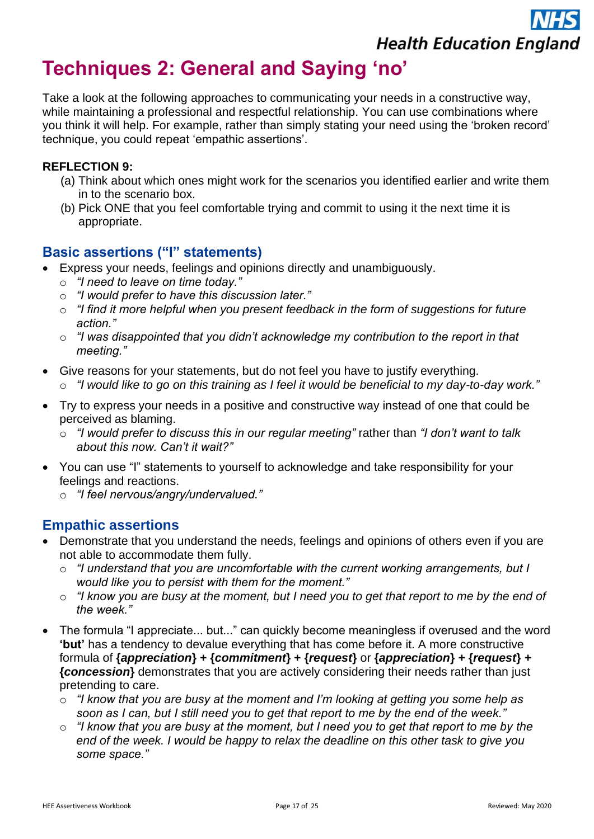## <span id="page-17-0"></span>**Techniques 2: General and Saying 'no'**

Take a look at the following approaches to communicating your needs in a constructive way, while maintaining a professional and respectful relationship. You can use combinations where you think it will help. For example, rather than simply stating your need using the 'broken record' technique, you could repeat 'empathic assertions'.

#### **REFLECTION 9:**

- (a) Think about which ones might work for the scenarios you identified earlier and write them in to the scenario box.
- (b) Pick ONE that you feel comfortable trying and commit to using it the next time it is appropriate.

### <span id="page-17-1"></span>**Basic assertions ("I" statements)**

- Express your needs, feelings and opinions directly and unambiguously.
	- o *"I need to leave on time today."*
	- o *"I would prefer to have this discussion later."*
	- o *"I find it more helpful when you present feedback in the form of suggestions for future action."*
	- o *"I was disappointed that you didn't acknowledge my contribution to the report in that meeting."*
- Give reasons for your statements, but do not feel you have to justify everything.
	- o *"I would like to go on this training as I feel it would be beneficial to my day-to-day work."*
- Try to express your needs in a positive and constructive way instead of one that could be perceived as blaming.
	- o *"I would prefer to discuss this in our regular meeting"* rather than *"I don't want to talk about this now. Can't it wait?"*
- You can use "I" statements to yourself to acknowledge and take responsibility for your feelings and reactions.
	- o *"I feel nervous/angry/undervalued."*

### <span id="page-17-2"></span>**Empathic assertions**

- Demonstrate that you understand the needs, feelings and opinions of others even if you are not able to accommodate them fully.
	- o *"I understand that you are uncomfortable with the current working arrangements, but I would like you to persist with them for the moment."*
	- o *"I know you are busy at the moment, but I need you to get that report to me by the end of the week."*
- The formula "I appreciate... but..." can quickly become meaningless if overused and the word **'but'** has a tendency to devalue everything that has come before it. A more constructive formula of **{***appreciation***} + {***commitment***} + {***request***}** or **{***appreciation***}** *+* **{***request***}** *+*  **{***concession***}** demonstrates that you are actively considering their needs rather than just pretending to care.
	- o *"I know that you are busy at the moment and I'm looking at getting you some help as soon as I can, but I still need you to get that report to me by the end of the week."*
	- o *"I know that you are busy at the moment, but I need you to get that report to me by the end of the week. I would be happy to relax the deadline on this other task to give you some space."*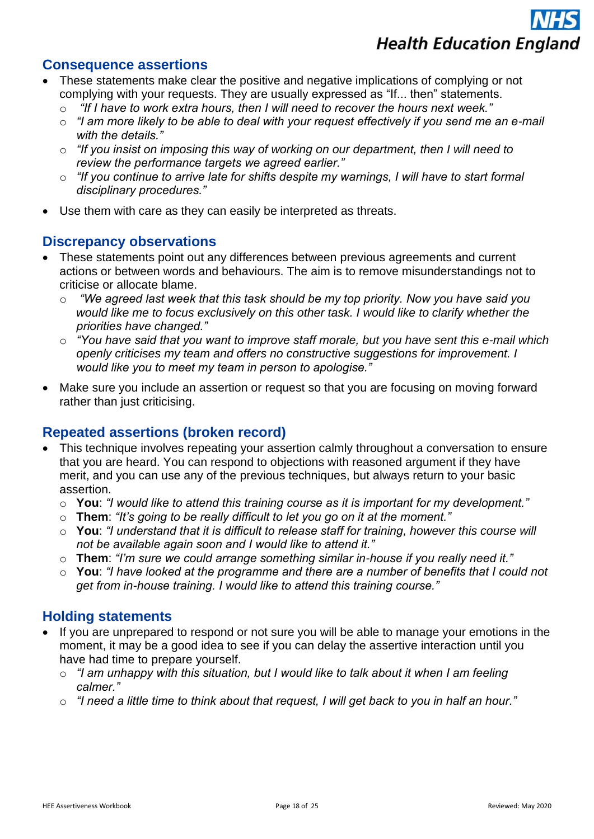### <span id="page-18-0"></span>**Consequence assertions**

- These statements make clear the positive and negative implications of complying or not complying with your requests. They are usually expressed as "If... then" statements.
	- o *"If I have to work extra hours, then I will need to recover the hours next week."*
	- o *"I am more likely to be able to deal with your request effectively if you send me an e-mail with the details."*
	- o *"If you insist on imposing this way of working on our department, then I will need to review the performance targets we agreed earlier."*
	- o *"If you continue to arrive late for shifts despite my warnings, I will have to start formal disciplinary procedures."*
- Use them with care as they can easily be interpreted as threats.

#### <span id="page-18-1"></span>**Discrepancy observations**

- These statements point out any differences between previous agreements and current actions or between words and behaviours. The aim is to remove misunderstandings not to criticise or allocate blame.
	- o *"We agreed last week that this task should be my top priority. Now you have said you would like me to focus exclusively on this other task. I would like to clarify whether the priorities have changed."*
	- o *"You have said that you want to improve staff morale, but you have sent this e-mail which openly criticises my team and offers no constructive suggestions for improvement. I would like you to meet my team in person to apologise."*
- Make sure you include an assertion or request so that you are focusing on moving forward rather than just criticising.

### <span id="page-18-2"></span>**Repeated assertions (broken record)**

- This technique involves repeating your assertion calmly throughout a conversation to ensure that you are heard. You can respond to objections with reasoned argument if they have merit, and you can use any of the previous techniques, but always return to your basic assertion.
	- o **You**: *"I would like to attend this training course as it is important for my development."*
	- o **Them**: *"It's going to be really difficult to let you go on it at the moment."*
	- o **You**: *"I understand that it is difficult to release staff for training, however this course will not be available again soon and I would like to attend it."*
	- o **Them**: *"I'm sure we could arrange something similar in-house if you really need it."*
	- o **You**: *"I have looked at the programme and there are a number of benefits that I could not get from in-house training. I would like to attend this training course."*

### <span id="page-18-3"></span>**Holding statements**

- If you are unprepared to respond or not sure you will be able to manage your emotions in the moment, it may be a good idea to see if you can delay the assertive interaction until you have had time to prepare yourself.
	- o *"I am unhappy with this situation, but I would like to talk about it when I am feeling calmer."*
	- o *"I need a little time to think about that request, I will get back to you in half an hour."*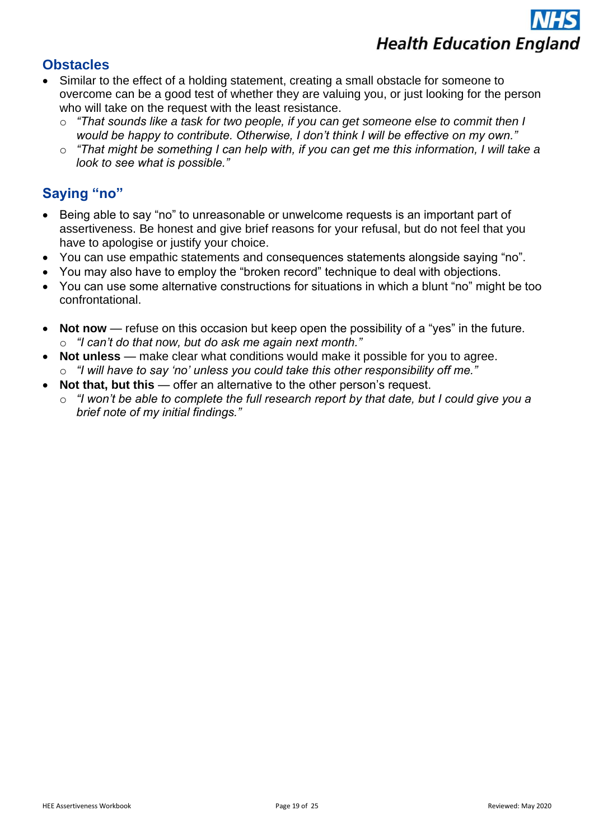### <span id="page-19-0"></span>**Obstacles**

- Similar to the effect of a holding statement, creating a small obstacle for someone to overcome can be a good test of whether they are valuing you, or just looking for the person who will take on the request with the least resistance.
	- o *"That sounds like a task for two people, if you can get someone else to commit then I would be happy to contribute. Otherwise, I don't think I will be effective on my own."*
	- o *"That might be something I can help with, if you can get me this information, I will take a look to see what is possible."*

## <span id="page-19-1"></span>**Saying "no"**

- Being able to say "no" to unreasonable or unwelcome requests is an important part of assertiveness. Be honest and give brief reasons for your refusal, but do not feel that you have to apologise or justify your choice.
- You can use empathic statements and consequences statements alongside saying "no".
- You may also have to employ the "broken record" technique to deal with objections.
- You can use some alternative constructions for situations in which a blunt "no" might be too confrontational.
- **Not now** refuse on this occasion but keep open the possibility of a "yes" in the future. o *"I can't do that now, but do ask me again next month."*
- **Not unless** make clear what conditions would make it possible for you to agree. o *"I will have to say 'no' unless you could take this other responsibility off me."*
- **Not that, but this** offer an alternative to the other person's request.
	- o *"I won't be able to complete the full research report by that date, but I could give you a brief note of my initial findings."*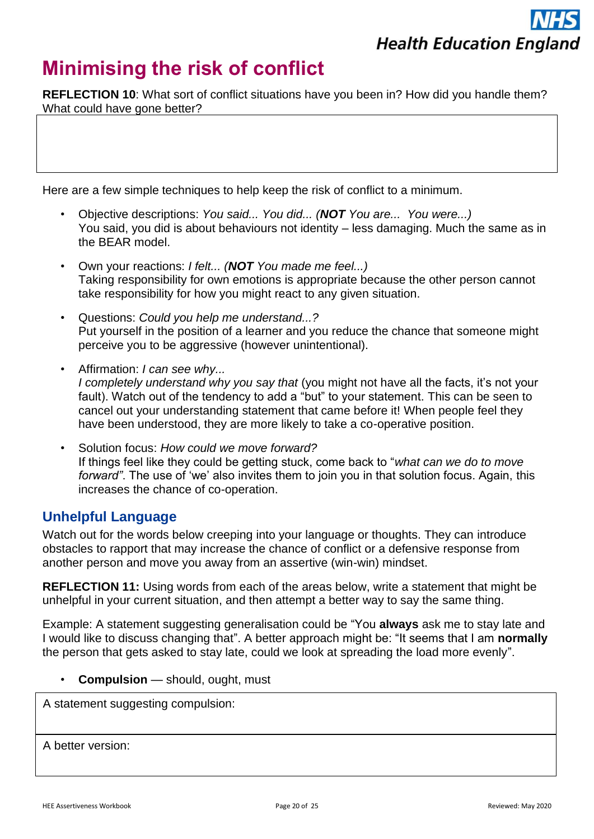## <span id="page-20-0"></span>**Minimising the risk of conflict**

**REFLECTION 10**: What sort of conflict situations have you been in? How did you handle them? What could have gone better?

Here are a few simple techniques to help keep the risk of conflict to a minimum.

- Objective descriptions: *You said... You did... (NOT You are... You were...)* You said, you did is about behaviours not identity – less damaging. Much the same as in the BEAR model.
- Own your reactions: *I felt... (NOT You made me feel...)* Taking responsibility for own emotions is appropriate because the other person cannot take responsibility for how you might react to any given situation.
- Questions: *Could you help me understand...?* Put yourself in the position of a learner and you reduce the chance that someone might perceive you to be aggressive (however unintentional).
- Affirmation: *I can see why... I completely understand why you say that* (you might not have all the facts, it's not your fault). Watch out of the tendency to add a "but" to your statement. This can be seen to cancel out your understanding statement that came before it! When people feel they have been understood, they are more likely to take a co-operative position.
- Solution focus: *How could we move forward?* If things feel like they could be getting stuck, come back to "*what can we do to move forward"*. The use of 'we' also invites them to join you in that solution focus. Again, this increases the chance of co-operation.

### <span id="page-20-1"></span>**Unhelpful Language**

Watch out for the words below creeping into your language or thoughts. They can introduce obstacles to rapport that may increase the chance of conflict or a defensive response from another person and move you away from an assertive (win-win) mindset.

**REFLECTION 11:** Using words from each of the areas below, write a statement that might be unhelpful in your current situation, and then attempt a better way to say the same thing.

Example: A statement suggesting generalisation could be "You **always** ask me to stay late and I would like to discuss changing that". A better approach might be: "It seems that I am **normally** the person that gets asked to stay late, could we look at spreading the load more evenly".

• **Compulsion** — should, ought, must

A statement suggesting compulsion:

A better version: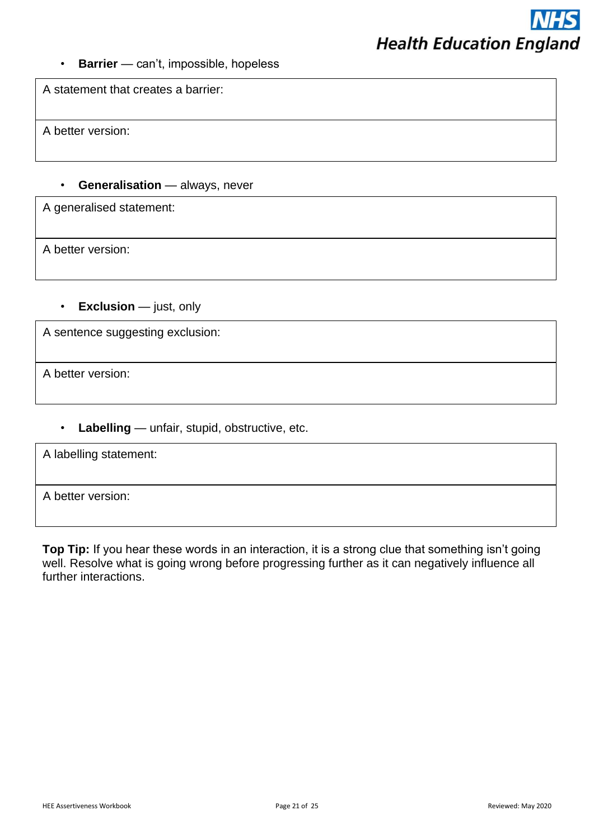• **Barrier** — can't, impossible, hopeless

A statement that creates a barrier:

A better version:

#### • **Generalisation** — always, never

A generalised statement:

A better version:

• **Exclusion** — just, only

A sentence suggesting exclusion:

A better version:

• **Labelling** — unfair, stupid, obstructive, etc.

A labelling statement:

A better version:

**Top Tip:** If you hear these words in an interaction, it is a strong clue that something isn't going well. Resolve what is going wrong before progressing further as it can negatively influence all further interactions.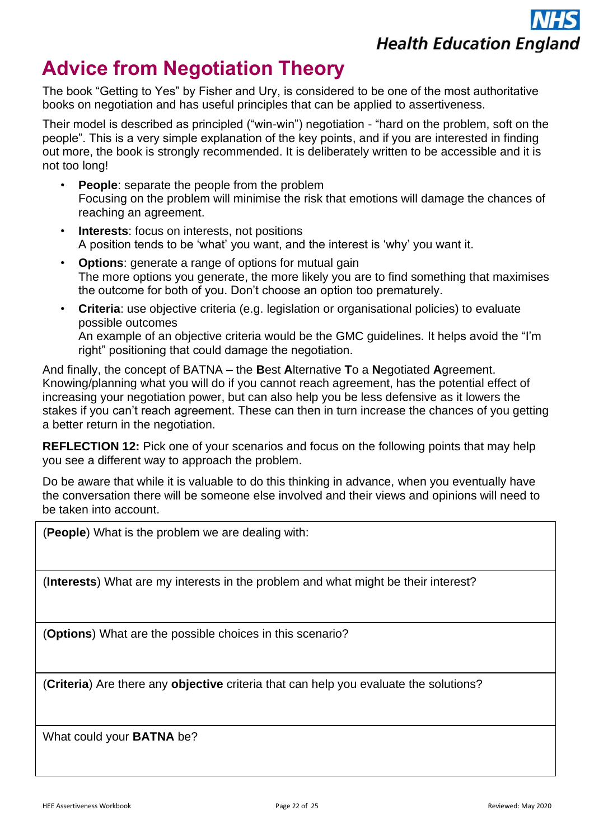## <span id="page-22-0"></span>**Advice from Negotiation Theory**

The book "Getting to Yes" by Fisher and Ury, is considered to be one of the most authoritative books on negotiation and has useful principles that can be applied to assertiveness.

Their model is described as principled ("win-win") negotiation - "hard on the problem, soft on the people". This is a very simple explanation of the key points, and if you are interested in finding out more, the book is strongly recommended. It is deliberately written to be accessible and it is not too long!

- **People:** separate the people from the problem Focusing on the problem will minimise the risk that emotions will damage the chances of reaching an agreement.
- **Interests**: focus on interests, not positions A position tends to be 'what' you want, and the interest is 'why' you want it.
- **Options**: generate a range of options for mutual gain The more options you generate, the more likely you are to find something that maximises the outcome for both of you. Don't choose an option too prematurely.
- **Criteria**: use objective criteria (e.g. legislation or organisational policies) to evaluate possible outcomes An example of an objective criteria would be the GMC guidelines. It helps avoid the "I'm right" positioning that could damage the negotiation.

And finally, the concept of BATNA – the **B**est **A**lternative **T**o a **N**egotiated **A**greement. Knowing/planning what you will do if you cannot reach agreement, has the potential effect of increasing your negotiation power, but can also help you be less defensive as it lowers the stakes if you can't reach agreement. These can then in turn increase the chances of you getting a better return in the negotiation.

**REFLECTION 12:** Pick one of your scenarios and focus on the following points that may help you see a different way to approach the problem.

Do be aware that while it is valuable to do this thinking in advance, when you eventually have the conversation there will be someone else involved and their views and opinions will need to be taken into account.

(**People**) What is the problem we are dealing with:

(**Interests**) What are my interests in the problem and what might be their interest?

(**Options**) What are the possible choices in this scenario?

(**Criteria**) Are there any **objective** criteria that can help you evaluate the solutions?

What could your **BATNA** be?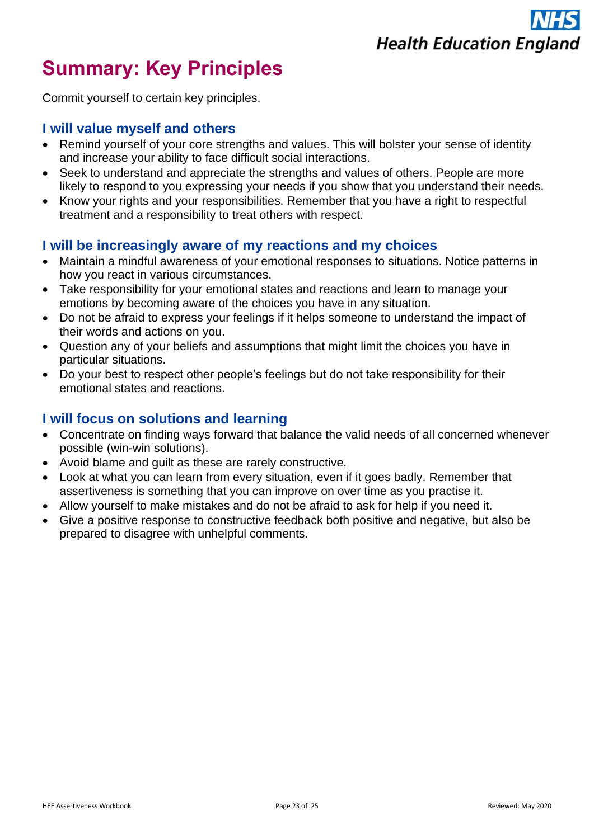## <span id="page-23-0"></span>**Summary: Key Principles**

Commit yourself to certain key principles.

#### <span id="page-23-1"></span>**I will value myself and others**

- Remind yourself of your core strengths and values. This will bolster your sense of identity and increase your ability to face difficult social interactions.
- Seek to understand and appreciate the strengths and values of others. People are more likely to respond to you expressing your needs if you show that you understand their needs.
- Know your rights and your responsibilities. Remember that you have a right to respectful treatment and a responsibility to treat others with respect.

### <span id="page-23-2"></span>**I will be increasingly aware of my reactions and my choices**

- Maintain a mindful awareness of your emotional responses to situations. Notice patterns in how you react in various circumstances.
- Take responsibility for your emotional states and reactions and learn to manage your emotions by becoming aware of the choices you have in any situation.
- Do not be afraid to express your feelings if it helps someone to understand the impact of their words and actions on you.
- Question any of your beliefs and assumptions that might limit the choices you have in particular situations.
- Do your best to respect other people's feelings but do not take responsibility for their emotional states and reactions.

### <span id="page-23-3"></span>**I will focus on solutions and learning**

- Concentrate on finding ways forward that balance the valid needs of all concerned whenever possible (win-win solutions).
- Avoid blame and guilt as these are rarely constructive.
- Look at what you can learn from every situation, even if it goes badly. Remember that assertiveness is something that you can improve on over time as you practise it.
- Allow yourself to make mistakes and do not be afraid to ask for help if you need it.
- Give a positive response to constructive feedback both positive and negative, but also be prepared to disagree with unhelpful comments.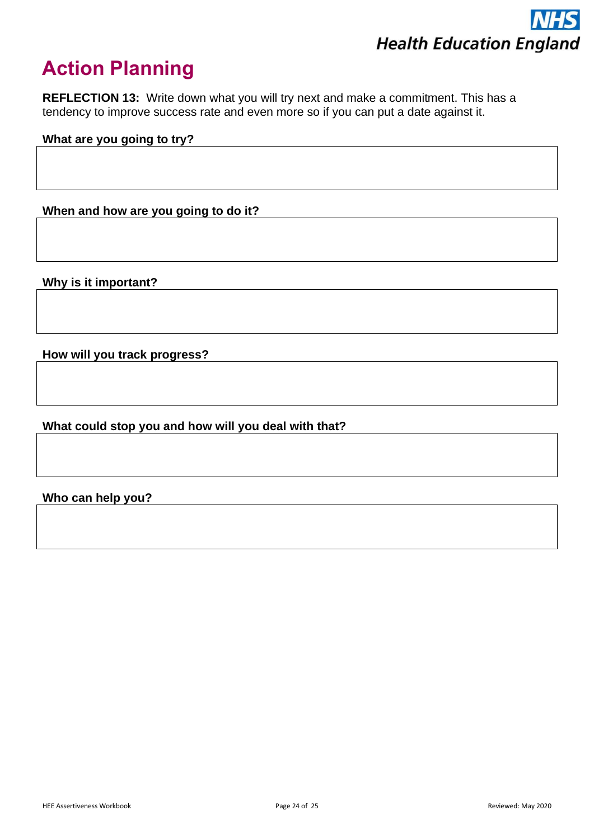

## <span id="page-24-0"></span>**Action Planning**

**REFLECTION 13:** Write down what you will try next and make a commitment. This has a tendency to improve success rate and even more so if you can put a date against it.

#### **What are you going to try?**

**When and how are you going to do it?**

**Why is it important?**

**How will you track progress?**

**What could stop you and how will you deal with that?**

**Who can help you?**